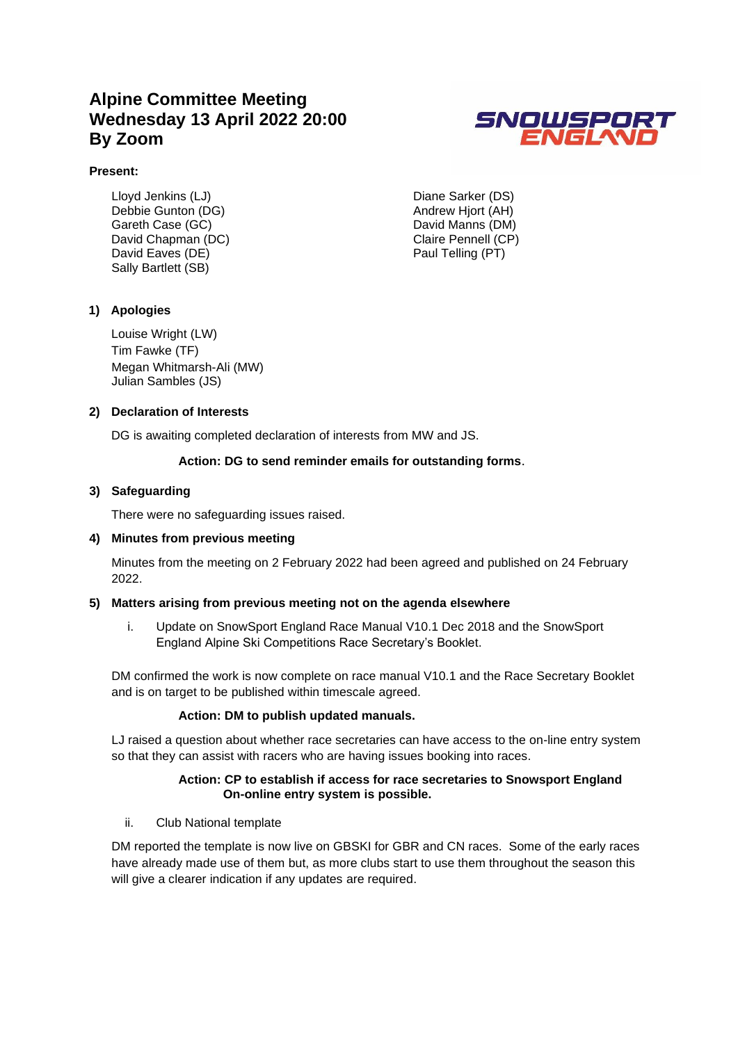### **Alpine Committee Meeting Wednesday 13 April 2022 20:00 By Zoom**



#### **Present:**

Lloyd Jenkins (LJ) Debbie Gunton (DG) Gareth Case (GC) David Chapman (DC) David Eaves (DE) Sally Bartlett (SB)

Diane Sarker (DS) Andrew Hjort (AH) David Manns (DM) Claire Pennell (CP) Paul Telling (PT)

#### **1) Apologies**

Louise Wright (LW) Tim Fawke (TF) Megan Whitmarsh-Ali (MW) Julian Sambles (JS)

#### **2) Declaration of Interests**

DG is awaiting completed declaration of interests from MW and JS.

#### **Action: DG to send reminder emails for outstanding forms**.

#### **3) Safeguarding**

There were no safeguarding issues raised.

#### **4) Minutes from previous meeting**

Minutes from the meeting on 2 February 2022 had been agreed and published on 24 February 2022.

#### **5) Matters arising from previous meeting not on the agenda elsewhere**

i. Update on SnowSport England Race Manual V10.1 Dec 2018 and the SnowSport England Alpine Ski Competitions Race Secretary's Booklet.

DM confirmed the work is now complete on race manual V10.1 and the Race Secretary Booklet and is on target to be published within timescale agreed.

#### **Action: DM to publish updated manuals.**

LJ raised a question about whether race secretaries can have access to the on-line entry system so that they can assist with racers who are having issues booking into races.

#### **Action: CP to establish if access for race secretaries to Snowsport England On-online entry system is possible.**

#### ii. Club National template

DM reported the template is now live on GBSKI for GBR and CN races. Some of the early races have already made use of them but, as more clubs start to use them throughout the season this will give a clearer indication if any updates are required.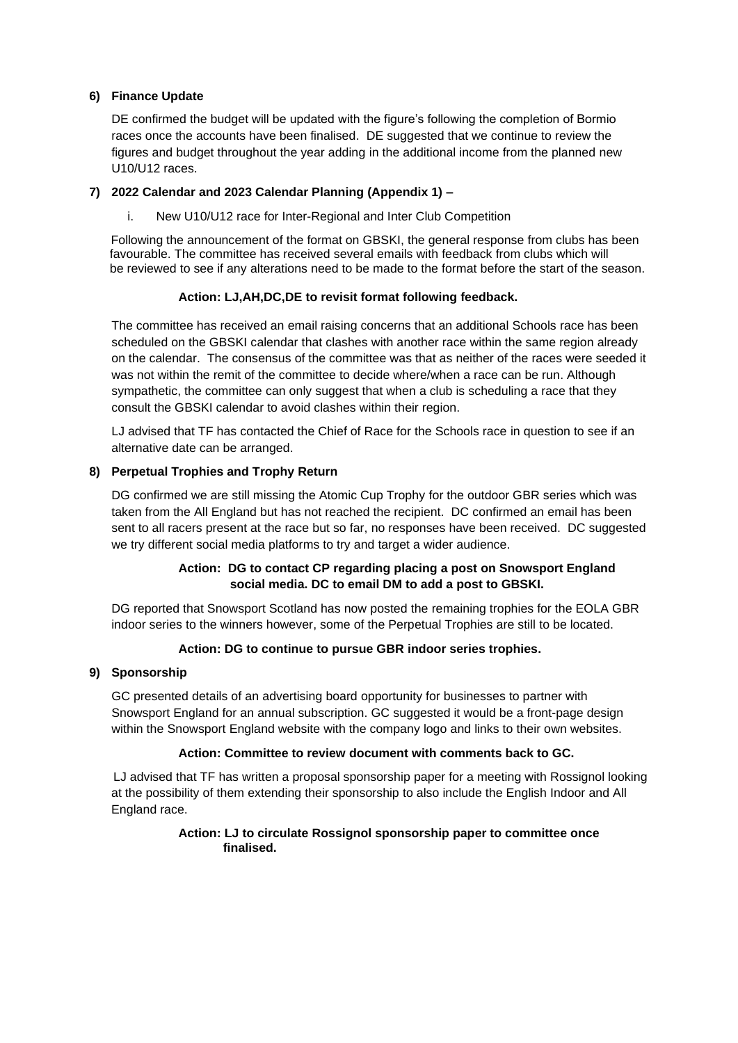#### **6) Finance Update**

DE confirmed the budget will be updated with the figure's following the completion of Bormio races once the accounts have been finalised. DE suggested that we continue to review the figures and budget throughout the year adding in the additional income from the planned new U10/U12 races.

#### **7) 2022 Calendar and 2023 Calendar Planning (Appendix 1) –**

i. New U10/U12 race for Inter-Regional and Inter Club Competition

 Following the announcement of the format on GBSKI, the general response from clubs has been favourable. The committee has received several emails with feedback from clubs which will be reviewed to see if any alterations need to be made to the format before the start of the season.

#### **Action: LJ,AH,DC,DE to revisit format following feedback.**

The committee has received an email raising concerns that an additional Schools race has been scheduled on the GBSKI calendar that clashes with another race within the same region already on the calendar. The consensus of the committee was that as neither of the races were seeded it was not within the remit of the committee to decide where/when a race can be run. Although sympathetic, the committee can only suggest that when a club is scheduling a race that they consult the GBSKI calendar to avoid clashes within their region.

LJ advised that TF has contacted the Chief of Race for the Schools race in question to see if an alternative date can be arranged.

#### **8) Perpetual Trophies and Trophy Return**

DG confirmed we are still missing the Atomic Cup Trophy for the outdoor GBR series which was taken from the All England but has not reached the recipient. DC confirmed an email has been sent to all racers present at the race but so far, no responses have been received. DC suggested we try different social media platforms to try and target a wider audience.

#### **Action: DG to contact CP regarding placing a post on Snowsport England social media. DC to email DM to add a post to GBSKI.**

DG reported that Snowsport Scotland has now posted the remaining trophies for the EOLA GBR indoor series to the winners however, some of the Perpetual Trophies are still to be located.

#### **Action: DG to continue to pursue GBR indoor series trophies.**

#### **9) Sponsorship**

GC presented details of an advertising board opportunity for businesses to partner with Snowsport England for an annual subscription. GC suggested it would be a front-page design within the Snowsport England website with the company logo and links to their own websites.

#### **Action: Committee to review document with comments back to GC.**

LJ advised that TF has written a proposal sponsorship paper for a meeting with Rossignol looking at the possibility of them extending their sponsorship to also include the English Indoor and All England race.

#### **Action: LJ to circulate Rossignol sponsorship paper to committee once finalised.**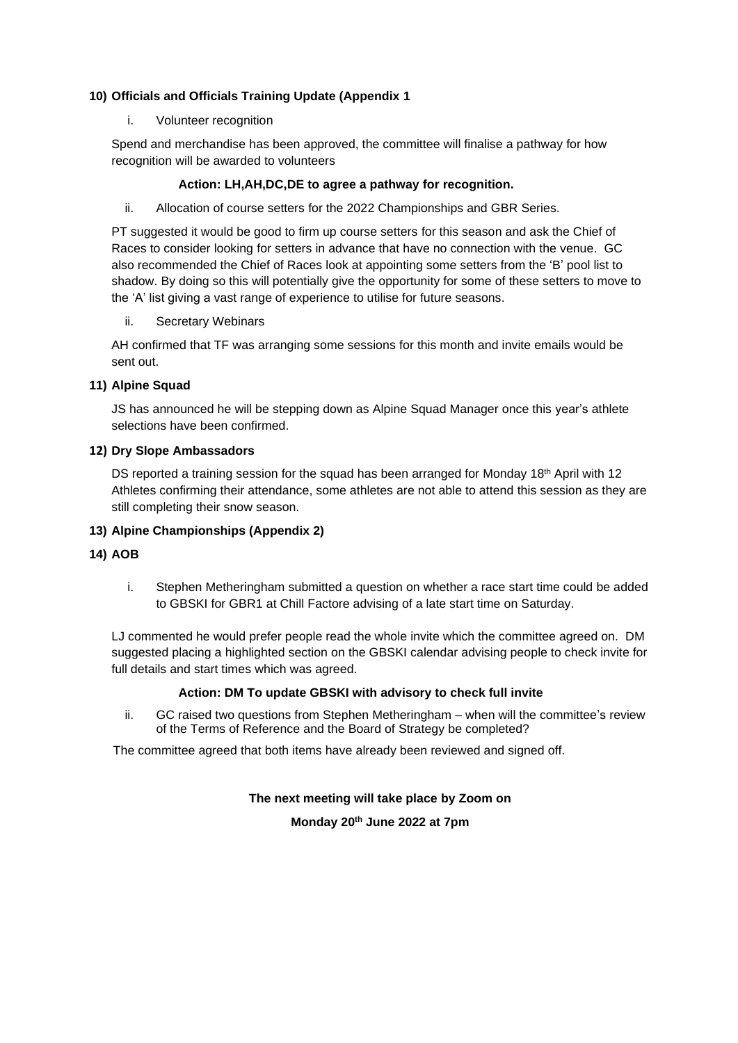#### **10) Officials and Officials Training Update (Appendix 1**

#### i. Volunteer recognition

Spend and merchandise has been approved, the committee will finalise a pathway for how recognition will be awarded to volunteers

#### **Action: LH,AH,DC,DE to agree a pathway for recognition.**

#### ii. Allocation of course setters for the 2022 Championships and GBR Series.

PT suggested it would be good to firm up course setters for this season and ask the Chief of Races to consider looking for setters in advance that have no connection with the venue. GC also recommended the Chief of Races look at appointing some setters from the 'B' pool list to shadow. By doing so this will potentially give the opportunity for some of these setters to move to the 'A' list giving a vast range of experience to utilise for future seasons.

#### ii. Secretary Webinars

AH confirmed that TF was arranging some sessions for this month and invite emails would be sent out.

#### **11) Alpine Squad**

JS has announced he will be stepping down as Alpine Squad Manager once this year's athlete selections have been confirmed.

#### **12) Dry Slope Ambassadors**

DS reported a training session for the squad has been arranged for Monday 18<sup>th</sup> April with 12 Athletes confirming their attendance, some athletes are not able to attend this session as they are still completing their snow season.

#### **13) Alpine Championships (Appendix 2)**

#### **14) AOB**

i. Stephen Metheringham submitted a question on whether a race start time could be added to GBSKI for GBR1 at Chill Factore advising of a late start time on Saturday.

LJ commented he would prefer people read the whole invite which the committee agreed on. DM suggested placing a highlighted section on the GBSKI calendar advising people to check invite for full details and start times which was agreed.

#### **Action: DM To update GBSKI with advisory to check full invite**

ii. GC raised two questions from Stephen Metheringham – when will the committee's review of the Terms of Reference and the Board of Strategy be completed?

The committee agreed that both items have already been reviewed and signed off.

#### **The next meeting will take place by Zoom on**

**Monday 20th June 2022 at 7pm**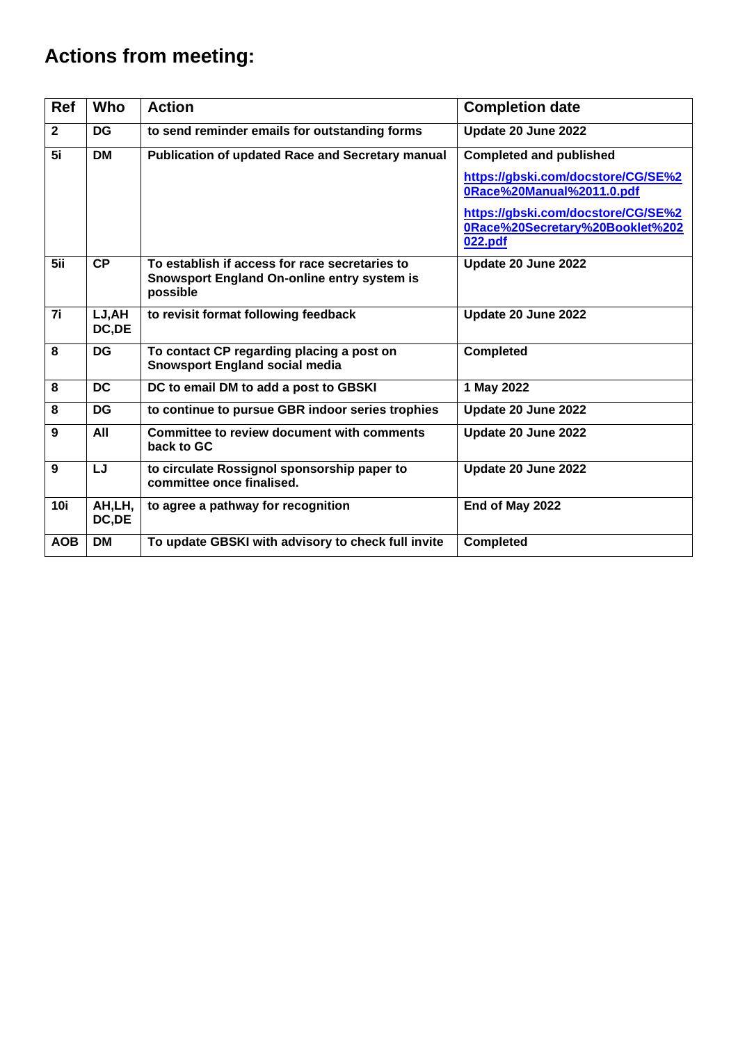# **Actions from meeting:**

| <b>Ref</b>   | <b>Who</b>       | <b>Action</b>                                                                                             | <b>Completion date</b>                                                                                                                                                                |  |  |
|--------------|------------------|-----------------------------------------------------------------------------------------------------------|---------------------------------------------------------------------------------------------------------------------------------------------------------------------------------------|--|--|
| $\mathbf{2}$ | <b>DG</b>        | to send reminder emails for outstanding forms                                                             | Update 20 June 2022                                                                                                                                                                   |  |  |
| 5i           | <b>DM</b>        | <b>Publication of updated Race and Secretary manual</b>                                                   | <b>Completed and published</b><br>https://gbski.com/docstore/CG/SE%2<br>0Race%20Manual%2011.0.pdf<br>https://gbski.com/docstore/CG/SE%2<br>0Race%20Secretary%20Booklet%202<br>022.pdf |  |  |
| 5ii          | CP               | To establish if access for race secretaries to<br>Snowsport England On-online entry system is<br>possible | Update 20 June 2022                                                                                                                                                                   |  |  |
| 7i           | LJ, AH<br>DC, DE | to revisit format following feedback                                                                      | Update 20 June 2022                                                                                                                                                                   |  |  |
| 8            | <b>DG</b>        | To contact CP regarding placing a post on<br><b>Snowsport England social media</b>                        | <b>Completed</b>                                                                                                                                                                      |  |  |
| 8            | <b>DC</b>        | DC to email DM to add a post to GBSKI                                                                     | 1 May 2022                                                                                                                                                                            |  |  |
| 8            | <b>DG</b>        | to continue to pursue GBR indoor series trophies                                                          | Update 20 June 2022                                                                                                                                                                   |  |  |
| 9            | All              | <b>Committee to review document with comments</b><br>back to GC                                           | Update 20 June 2022                                                                                                                                                                   |  |  |
| 9            | LJ               | to circulate Rossignol sponsorship paper to<br>committee once finalised.                                  | Update 20 June 2022                                                                                                                                                                   |  |  |
| <b>10i</b>   | AH,LH,<br>DC, DE | to agree a pathway for recognition                                                                        | End of May 2022                                                                                                                                                                       |  |  |
| <b>AOB</b>   | <b>DM</b>        | To update GBSKI with advisory to check full invite                                                        | <b>Completed</b>                                                                                                                                                                      |  |  |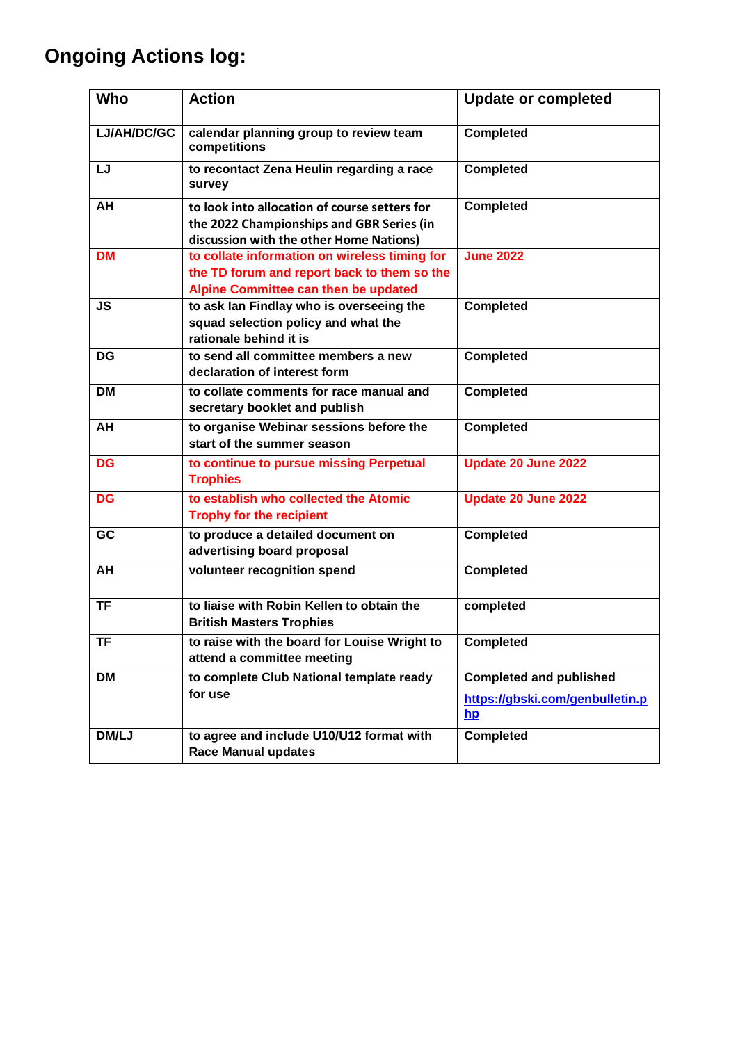# **Ongoing Actions log:**

| Who         | <b>Action</b>                                                                                                                         | <b>Update or completed</b>                                                |
|-------------|---------------------------------------------------------------------------------------------------------------------------------------|---------------------------------------------------------------------------|
| LJ/AH/DC/GC | calendar planning group to review team<br>competitions                                                                                | <b>Completed</b>                                                          |
| LJ          | to recontact Zena Heulin regarding a race<br>survey                                                                                   | <b>Completed</b>                                                          |
| AH          | to look into allocation of course setters for<br>the 2022 Championships and GBR Series (in<br>discussion with the other Home Nations) | <b>Completed</b>                                                          |
| <b>DM</b>   | to collate information on wireless timing for<br>the TD forum and report back to them so the<br>Alpine Committee can then be updated  | <b>June 2022</b>                                                          |
| <b>JS</b>   | to ask lan Findlay who is overseeing the<br>squad selection policy and what the<br>rationale behind it is                             | <b>Completed</b>                                                          |
| <b>DG</b>   | to send all committee members a new<br>declaration of interest form                                                                   | <b>Completed</b>                                                          |
| <b>DM</b>   | to collate comments for race manual and<br>secretary booklet and publish                                                              | <b>Completed</b>                                                          |
| AH          | to organise Webinar sessions before the<br>start of the summer season                                                                 | <b>Completed</b>                                                          |
| <b>DG</b>   | to continue to pursue missing Perpetual<br><b>Trophies</b>                                                                            | Update 20 June 2022                                                       |
| DG          | to establish who collected the Atomic<br><b>Trophy for the recipient</b>                                                              | <b>Update 20 June 2022</b>                                                |
| GC          | to produce a detailed document on<br>advertising board proposal                                                                       | <b>Completed</b>                                                          |
| AH          | volunteer recognition spend                                                                                                           | <b>Completed</b>                                                          |
| <b>TF</b>   | to liaise with Robin Kellen to obtain the<br><b>British Masters Trophies</b>                                                          | completed                                                                 |
| <b>TF</b>   | to raise with the board for Louise Wright to<br>attend a committee meeting                                                            | <b>Completed</b>                                                          |
| <b>DM</b>   | to complete Club National template ready<br>for use                                                                                   | <b>Completed and published</b><br>https://gbski.com/genbulletin.p<br>$hp$ |
| DM/LJ       | to agree and include U10/U12 format with<br><b>Race Manual updates</b>                                                                | <b>Completed</b>                                                          |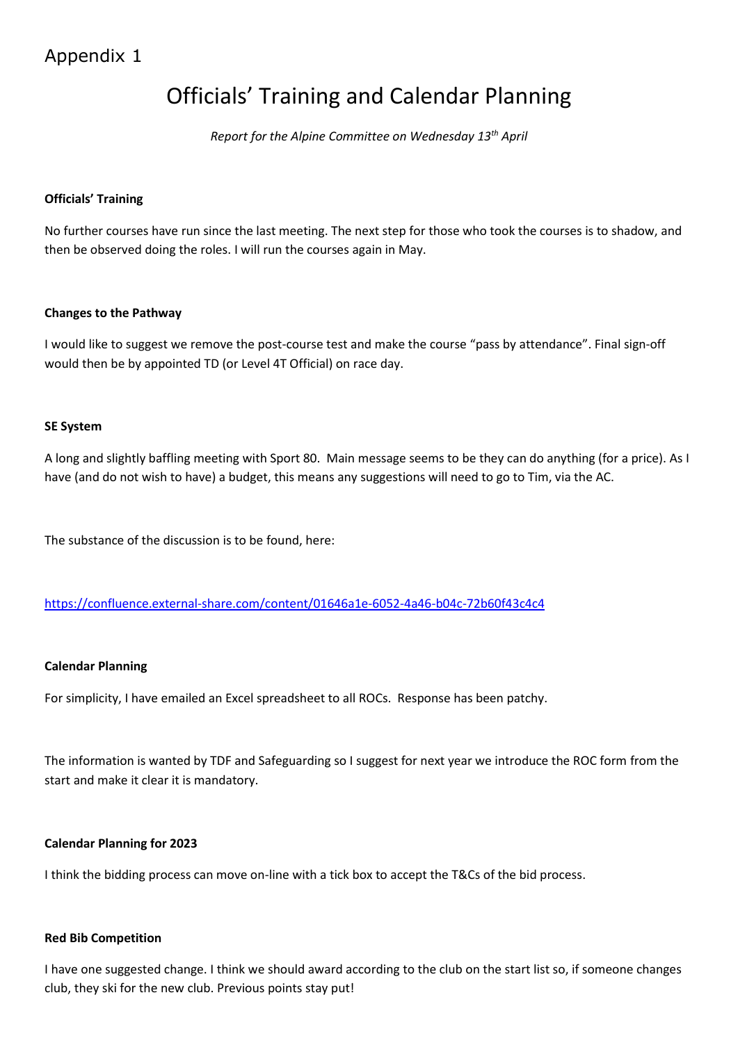## Appendix 1

# Officials' Training and Calendar Planning

*Report for the Alpine Committee on Wednesday 13th April*

#### **Officials' Training**

No further courses have run since the last meeting. The next step for those who took the courses is to shadow, and then be observed doing the roles. I will run the courses again in May.

#### **Changes to the Pathway**

I would like to suggest we remove the post-course test and make the course "pass by attendance". Final sign-off would then be by appointed TD (or Level 4T Official) on race day.

#### **SE System**

A long and slightly baffling meeting with Sport 80. Main message seems to be they can do anything (for a price). As I have (and do not wish to have) a budget, this means any suggestions will need to go to Tim, via the AC.

The substance of the discussion is to be found, here:

<https://confluence.external-share.com/content/01646a1e-6052-4a46-b04c-72b60f43c4c4>

#### **Calendar Planning**

For simplicity, I have emailed an Excel spreadsheet to all ROCs. Response has been patchy.

The information is wanted by TDF and Safeguarding so I suggest for next year we introduce the ROC form from the start and make it clear it is mandatory.

#### **Calendar Planning for 2023**

I think the bidding process can move on-line with a tick box to accept the T&Cs of the bid process.

#### **Red Bib Competition**

I have one suggested change. I think we should award according to the club on the start list so, if someone changes club, they ski for the new club. Previous points stay put!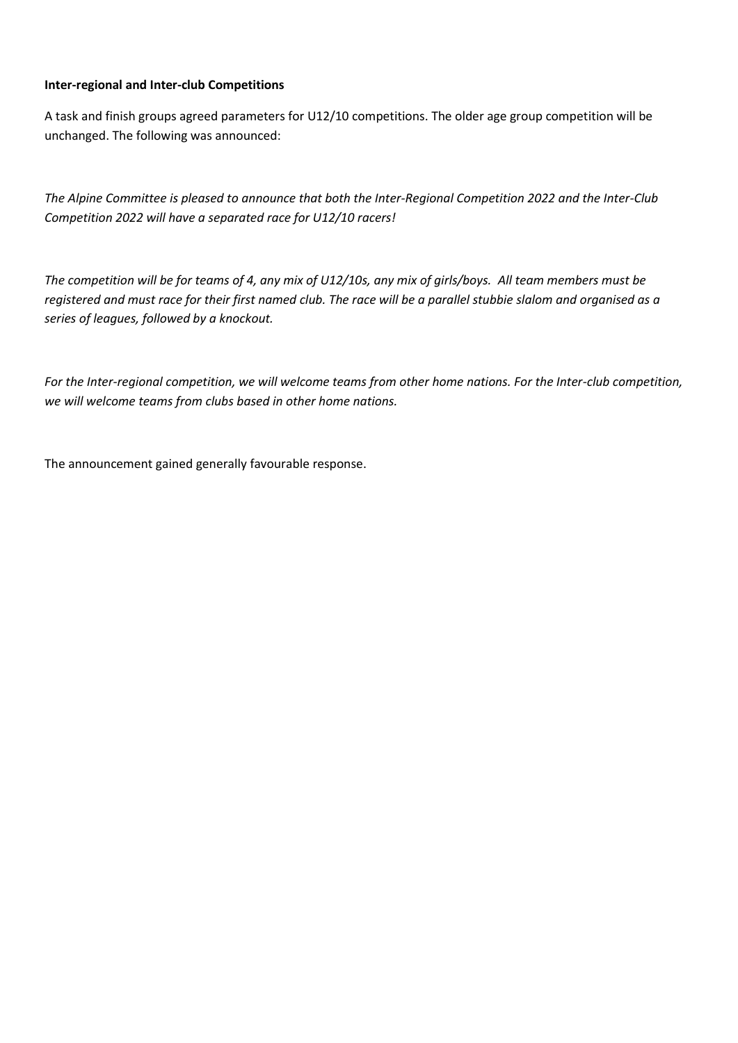#### **Inter-regional and Inter-club Competitions**

A task and finish groups agreed parameters for U12/10 competitions. The older age group competition will be unchanged. The following was announced:

*The Alpine Committee is pleased to announce that both the Inter-Regional Competition 2022 and the Inter-Club Competition 2022 will have a separated race for U12/10 racers!*

*The competition will be for teams of 4, any mix of U12/10s, any mix of girls/boys. All team members must be registered and must race for their first named club. The race will be a parallel stubbie slalom and organised as a series of leagues, followed by a knockout.*

*For the Inter-regional competition, we will welcome teams from other home nations. For the Inter-club competition, we will welcome teams from clubs based in other home nations.*

The announcement gained generally favourable response.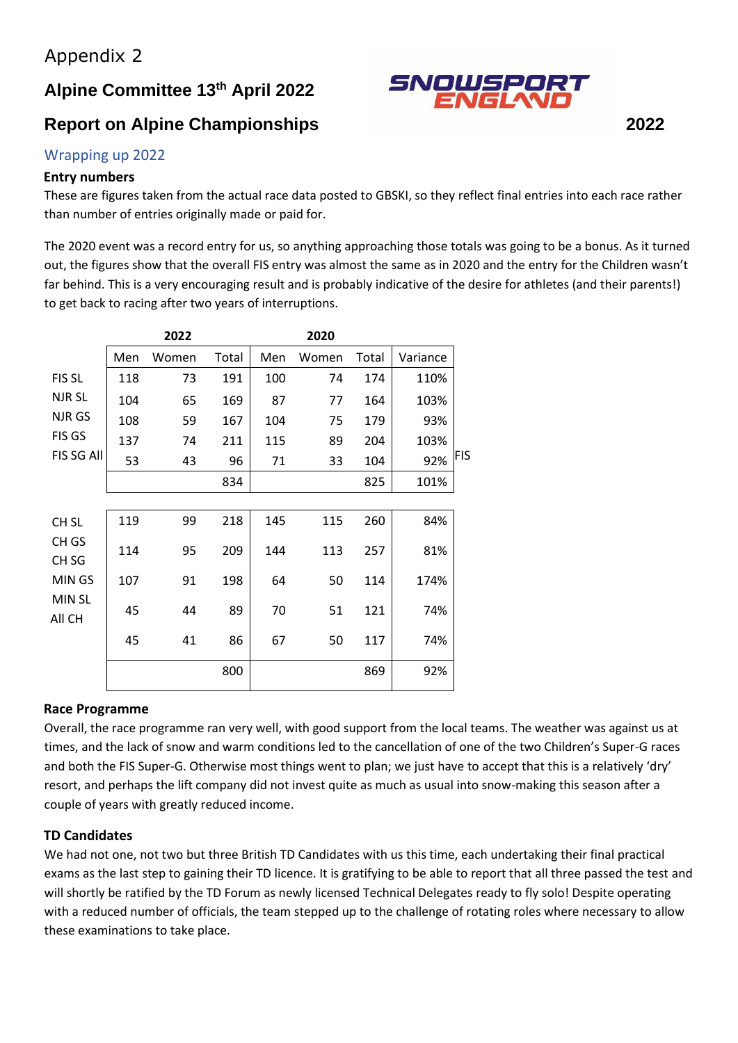## **Alpine Committee 13th April 2022**

## **Report on Alpine Championships 2022**

# SNOWSPORT<br>ENGLAND

#### Wrapping up 2022

#### **Entry numbers**

These are figures taken from the actual race data posted to GBSKI, so they reflect final entries into each race rather than number of entries originally made or paid for.

The 2020 event was a record entry for us, so anything approaching those totals was going to be a bonus. As it turned out, the figures show that the overall FIS entry was almost the same as in 2020 and the entry for the Children wasn't far behind. This is a very encouraging result and is probably indicative of the desire for athletes (and their parents!) to get back to racing after two years of interruptions.

|                           |     | 2022  |       |     | 2020  |       |          |            |
|---------------------------|-----|-------|-------|-----|-------|-------|----------|------------|
|                           | Men | Women | Total | Men | Women | Total | Variance |            |
| FIS SL                    | 118 | 73    | 191   | 100 | 74    | 174   | 110%     |            |
| NJR SL                    | 104 | 65    | 169   | 87  | 77    | 164   | 103%     |            |
| NJR GS                    | 108 | 59    | 167   | 104 | 75    | 179   | 93%      |            |
| FIS GS                    | 137 | 74    | 211   | 115 | 89    | 204   | 103%     |            |
| FIS SG All                | 53  | 43    | 96    | 71  | 33    | 104   | 92%      | <b>FIS</b> |
|                           |     |       | 834   |     |       | 825   | 101%     |            |
|                           |     |       |       |     |       |       |          |            |
| CH <sub>SL</sub>          | 119 | 99    | 218   | 145 | 115   | 260   | 84%      |            |
| CH GS<br>CH <sub>SG</sub> | 114 | 95    | 209   | 144 | 113   | 257   | 81%      |            |
| MIN GS                    | 107 | 91    | 198   | 64  | 50    | 114   | 174%     |            |
| MIN SL<br>All CH          | 45  | 44    | 89    | 70  | 51    | 121   | 74%      |            |
|                           | 45  | 41    | 86    | 67  | 50    | 117   | 74%      |            |
|                           |     |       | 800   |     |       | 869   | 92%      |            |

#### **Race Programme**

Overall, the race programme ran very well, with good support from the local teams. The weather was against us at times, and the lack of snow and warm conditions led to the cancellation of one of the two Children's Super-G races and both the FIS Super-G. Otherwise most things went to plan; we just have to accept that this is a relatively 'dry' resort, and perhaps the lift company did not invest quite as much as usual into snow-making this season after a couple of years with greatly reduced income.

#### **TD Candidates**

We had not one, not two but three British TD Candidates with us this time, each undertaking their final practical exams as the last step to gaining their TD licence. It is gratifying to be able to report that all three passed the test and will shortly be ratified by the TD Forum as newly licensed Technical Delegates ready to fly solo! Despite operating with a reduced number of officials, the team stepped up to the challenge of rotating roles where necessary to allow these examinations to take place.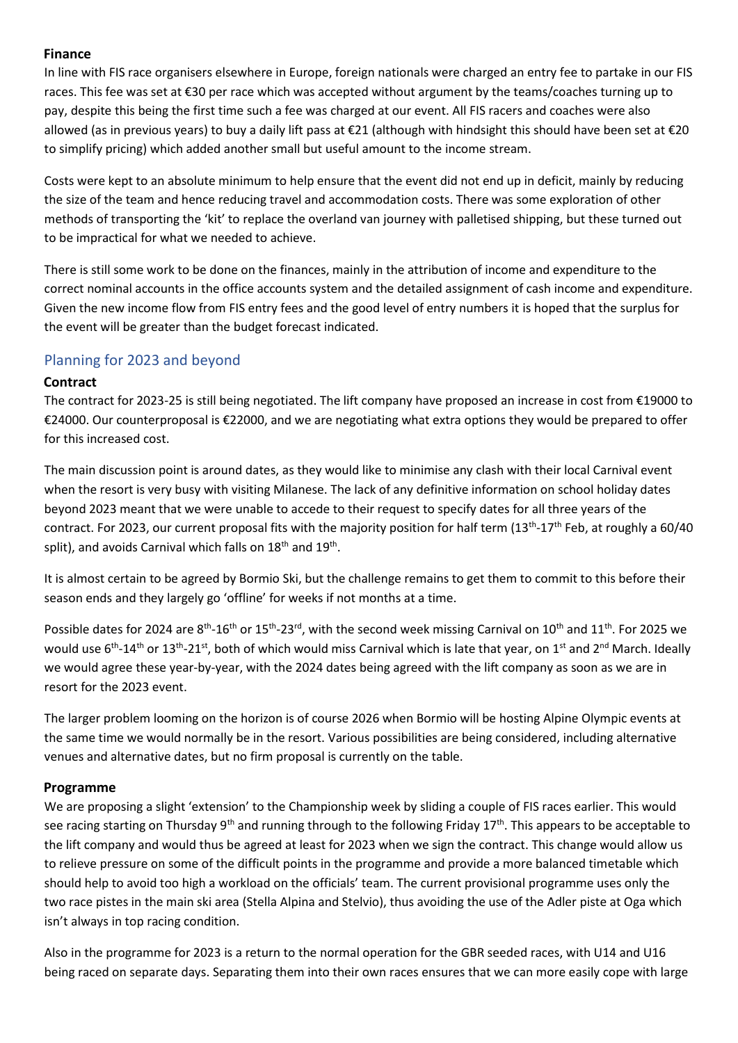#### **Finance**

In line with FIS race organisers elsewhere in Europe, foreign nationals were charged an entry fee to partake in our FIS races. This fee was set at €30 per race which was accepted without argument by the teams/coaches turning up to pay, despite this being the first time such a fee was charged at our event. All FIS racers and coaches were also allowed (as in previous years) to buy a daily lift pass at €21 (although with hindsight this should have been set at €20 to simplify pricing) which added another small but useful amount to the income stream.

Costs were kept to an absolute minimum to help ensure that the event did not end up in deficit, mainly by reducing the size of the team and hence reducing travel and accommodation costs. There was some exploration of other methods of transporting the 'kit' to replace the overland van journey with palletised shipping, but these turned out to be impractical for what we needed to achieve.

There is still some work to be done on the finances, mainly in the attribution of income and expenditure to the correct nominal accounts in the office accounts system and the detailed assignment of cash income and expenditure. Given the new income flow from FIS entry fees and the good level of entry numbers it is hoped that the surplus for the event will be greater than the budget forecast indicated.

#### Planning for 2023 and beyond

#### **Contract**

The contract for 2023-25 is still being negotiated. The lift company have proposed an increase in cost from €19000 to €24000. Our counterproposal is €22000, and we are negotiating what extra options they would be prepared to offer for this increased cost.

The main discussion point is around dates, as they would like to minimise any clash with their local Carnival event when the resort is very busy with visiting Milanese. The lack of any definitive information on school holiday dates beyond 2023 meant that we were unable to accede to their request to specify dates for all three years of the contract. For 2023, our current proposal fits with the majority position for half term (13<sup>th</sup>-17<sup>th</sup> Feb, at roughly a 60/40 split), and avoids Carnival which falls on  $18^{\text{th}}$  and  $19^{\text{th}}$ .

It is almost certain to be agreed by Bormio Ski, but the challenge remains to get them to commit to this before their season ends and they largely go 'offline' for weeks if not months at a time.

Possible dates for 2024 are  $8^{th}$ -16<sup>th</sup> or 15<sup>th</sup>-23<sup>rd</sup>, with the second week missing Carnival on 10<sup>th</sup> and 11<sup>th</sup>. For 2025 we would use 6<sup>th</sup>-14<sup>th</sup> or 13<sup>th</sup>-21<sup>st</sup>, both of which would miss Carnival which is late that year, on 1<sup>st</sup> and 2<sup>nd</sup> March. Ideally we would agree these year-by-year, with the 2024 dates being agreed with the lift company as soon as we are in resort for the 2023 event.

The larger problem looming on the horizon is of course 2026 when Bormio will be hosting Alpine Olympic events at the same time we would normally be in the resort. Various possibilities are being considered, including alternative venues and alternative dates, but no firm proposal is currently on the table.

#### **Programme**

We are proposing a slight 'extension' to the Championship week by sliding a couple of FIS races earlier. This would see racing starting on Thursday 9<sup>th</sup> and running through to the following Friday 17<sup>th</sup>. This appears to be acceptable to the lift company and would thus be agreed at least for 2023 when we sign the contract. This change would allow us to relieve pressure on some of the difficult points in the programme and provide a more balanced timetable which should help to avoid too high a workload on the officials' team. The current provisional programme uses only the two race pistes in the main ski area (Stella Alpina and Stelvio), thus avoiding the use of the Adler piste at Oga which isn't always in top racing condition.

Also in the programme for 2023 is a return to the normal operation for the GBR seeded races, with U14 and U16 being raced on separate days. Separating them into their own races ensures that we can more easily cope with large